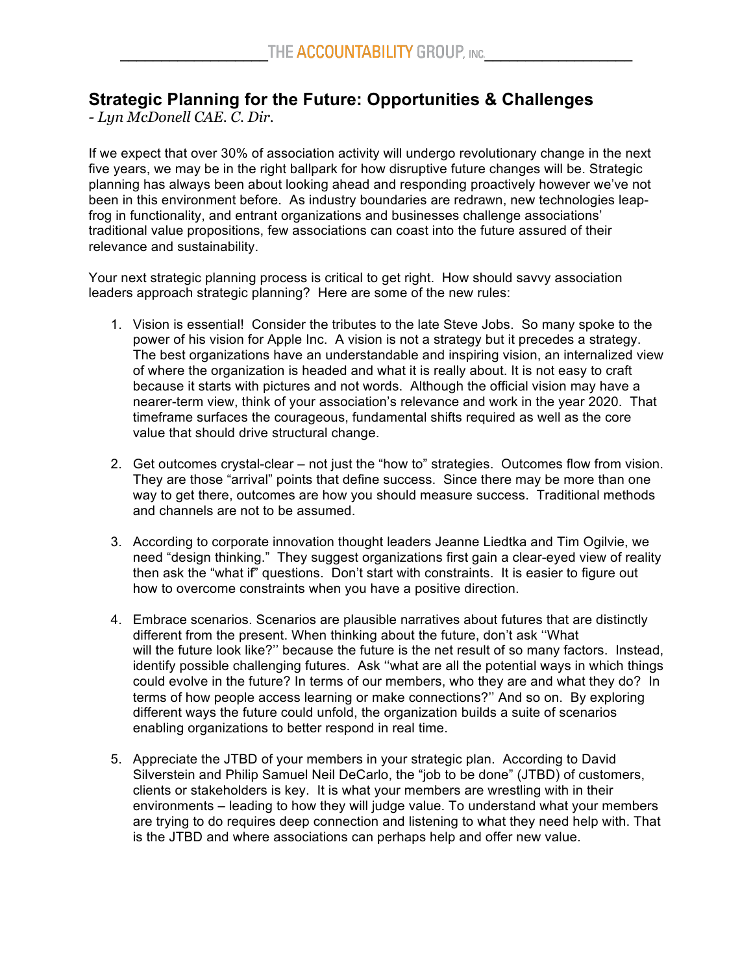## **Strategic Planning for the Future: Opportunities & Challenges**

*- Lyn McDonell CAE. C. Dir.*

If we expect that over 30% of association activity will undergo revolutionary change in the next five years, we may be in the right ballpark for how disruptive future changes will be. Strategic planning has always been about looking ahead and responding proactively however we've not been in this environment before. As industry boundaries are redrawn, new technologies leapfrog in functionality, and entrant organizations and businesses challenge associations' traditional value propositions, few associations can coast into the future assured of their relevance and sustainability.

Your next strategic planning process is critical to get right. How should savvy association leaders approach strategic planning? Here are some of the new rules:

- 1. Vision is essential! Consider the tributes to the late Steve Jobs. So many spoke to the power of his vision for Apple Inc. A vision is not a strategy but it precedes a strategy. The best organizations have an understandable and inspiring vision, an internalized view of where the organization is headed and what it is really about. It is not easy to craft because it starts with pictures and not words. Although the official vision may have a nearer-term view, think of your association's relevance and work in the year 2020. That timeframe surfaces the courageous, fundamental shifts required as well as the core value that should drive structural change.
- 2. Get outcomes crystal-clear not just the "how to" strategies. Outcomes flow from vision. They are those "arrival" points that define success. Since there may be more than one way to get there, outcomes are how you should measure success. Traditional methods and channels are not to be assumed.
- 3. According to corporate innovation thought leaders Jeanne Liedtka and Tim Ogilvie, we need "design thinking." They suggest organizations first gain a clear-eyed view of reality then ask the "what if" questions. Don't start with constraints. It is easier to figure out how to overcome constraints when you have a positive direction.
- 4. Embrace scenarios. Scenarios are plausible narratives about futures that are distinctly different from the present. When thinking about the future, don't ask ''What will the future look like?'' because the future is the net result of so many factors. Instead, identify possible challenging futures. Ask ''what are all the potential ways in which things could evolve in the future? In terms of our members, who they are and what they do? In terms of how people access learning or make connections?'' And so on. By exploring different ways the future could unfold, the organization builds a suite of scenarios enabling organizations to better respond in real time.
- 5. Appreciate the JTBD of your members in your strategic plan. According to David Silverstein and Philip Samuel Neil DeCarlo, the "job to be done" (JTBD) of customers, clients or stakeholders is key. It is what your members are wrestling with in their environments – leading to how they will judge value. To understand what your members are trying to do requires deep connection and listening to what they need help with. That is the JTBD and where associations can perhaps help and offer new value.